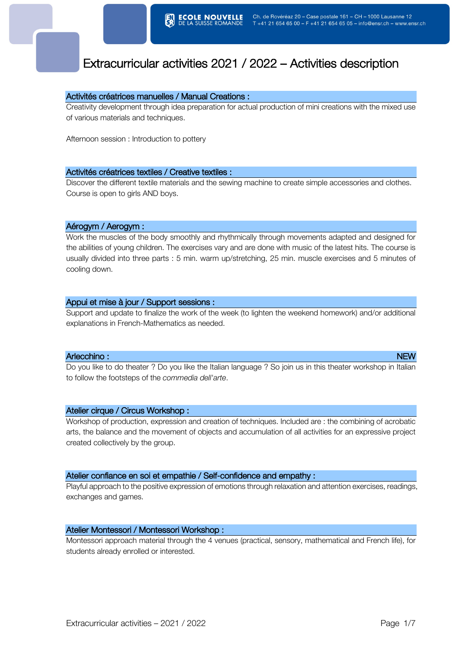# Extracurricular activities 2021 / 2022 – Activities description

# Activités créatrices manuelles / Manual Creations :

Creativity development through idea preparation for actual production of mini creations with the mixed use of various materials and techniques.

Afternoon session : Introduction to pottery

### Activités créatrices textiles / Creative textiles :

Discover the different textile materials and the sewing machine to create simple accessories and clothes. Course is open to girls AND boys.

# Aérogym / Aerogym :

Work the muscles of the body smoothly and rhythmically through movements adapted and designed for the abilities of young children. The exercises vary and are done with music of the latest hits. The course is usually divided into three parts : 5 min. warm up/stretching, 25 min. muscle exercises and 5 minutes of cooling down.

### Appui et mise à jour / Support sessions :

Support and update to finalize the work of the week (to lighten the weekend homework) and/or additional explanations in French-Mathematics as needed.

#### Arlecchino : NEW PRODUCT CONTROL CONTROL CONTROL CONTROL CONTROL CONTROL CONTROL CONTROL CONTROL CONTROL CONTROL CONTROL CONTROL CONTROL CONTROL CONTROL CONTROL CONTROL CONTROL CONTROL CONTROL CONTROL CONTROL CONTROL CONTR

Do you like to do theater ? Do you like the Italian language ? So join us in this theater workshop in Italian to follow the footsteps of the *commedia dell'arte*.

# Atelier cirque / Circus Workshop :

Workshop of production, expression and creation of techniques. Included are : the combining of acrobatic arts, the balance and the movement of objects and accumulation of all activities for an expressive project created collectively by the group.

# Atelier confiance en soi et empathie / Self-confidence and empathy :

Playful approach to the positive expression of emotions through relaxation and attention exercises, readings, exchanges and games.

# Atelier Montessori / Montessori Workshop :

Montessori approach material through the 4 venues (practical, sensory, mathematical and French life), for students already enrolled or interested.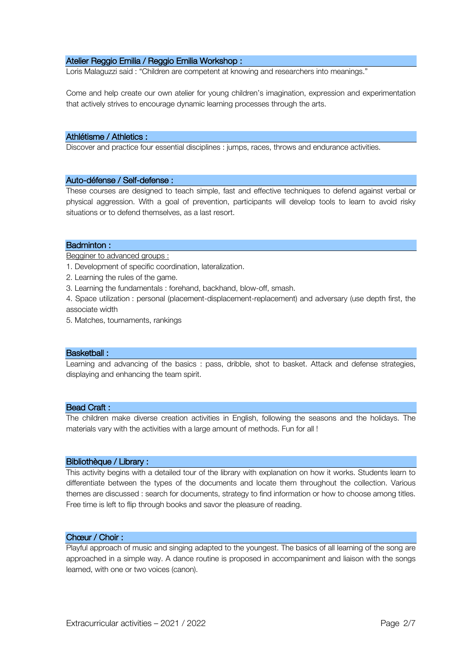# Atelier Reggio Emilia / Reggio Emilia Workshop :

Loris Malaguzzi said : "Children are competent at knowing and researchers into meanings."

Come and help create our own atelier for young children's imagination, expression and experimentation that actively strives to encourage dynamic learning processes through the arts.

#### Athlétisme / Athletics :

Discover and practice four essential disciplines : jumps, races, throws and endurance activities.

#### Auto-défense / Self-defense :

These courses are designed to teach simple, fast and effective techniques to defend against verbal or physical aggression. With a goal of prevention, participants will develop tools to learn to avoid risky situations or to defend themselves, as a last resort.

### Badminton :

Begginer to advanced groups :

- 1. Development of specific coordination, lateralization.
- 2. Learning the rules of the game.
- 3. Learning the fundamentals : forehand, backhand, blow-off, smash.
- 4. Space utilization : personal (placement-displacement-replacement) and adversary (use depth first, the associate width
- 5. Matches, tournaments, rankings

#### Basketball :

Learning and advancing of the basics : pass, dribble, shot to basket. Attack and defense strategies, displaying and enhancing the team spirit.

#### Bead Craft :

The children make diverse creation activities in English, following the seasons and the holidays. The materials vary with the activities with a large amount of methods. Fun for all !

#### Bibliothèque / Library :

This activity begins with a detailed tour of the library with explanation on how it works. Students learn to differentiate between the types of the documents and locate them throughout the collection. Various themes are discussed : search for documents, strategy to find information or how to choose among titles. Free time is left to flip through books and savor the pleasure of reading.

# Chœur / Choir :

Playful approach of music and singing adapted to the youngest. The basics of all learning of the song are approached in a simple way. A dance routine is proposed in accompaniment and liaison with the songs learned, with one or two voices (canon).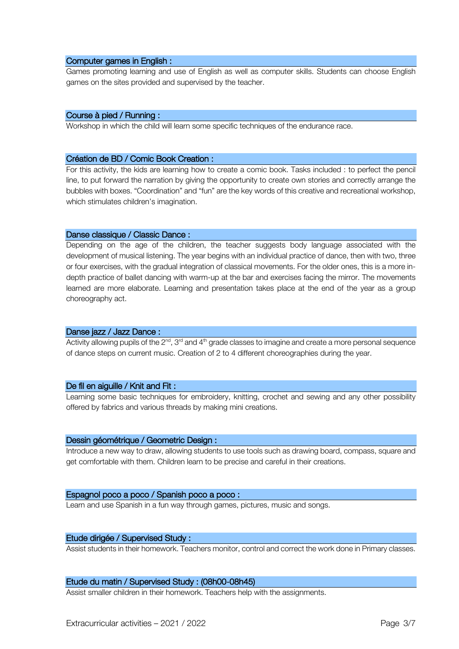#### Computer games in English :

Games promoting learning and use of English as well as computer skills. Students can choose English games on the sites provided and supervised by the teacher.

# Course à pied / Running :

Workshop in which the child will learn some specific techniques of the endurance race.

#### Création de BD / Comic Book Creation :

For this activity, the kids are learning how to create a comic book. Tasks included : to perfect the pencil line, to put forward the narration by giving the opportunity to create own stories and correctly arrange the bubbles with boxes. "Coordination" and "fun" are the key words of this creative and recreational workshop, which stimulates children's imagination.

### Danse classique / Classic Dance :

Depending on the age of the children, the teacher suggests body language associated with the development of musical listening. The year begins with an individual practice of dance, then with two, three or four exercises, with the gradual integration of classical movements. For the older ones, this is a more indepth practice of ballet dancing with warm-up at the bar and exercises facing the mirror. The movements learned are more elaborate. Learning and presentation takes place at the end of the year as a group choreography act.

# Danse jazz / Jazz Dance :

Activity allowing pupils of the  $2<sup>nd</sup>$ , 3<sup>rd</sup> and 4<sup>th</sup> grade classes to imagine and create a more personal sequence of dance steps on current music. Creation of 2 to 4 different choreographies during the year.

# De fil en aiguille / Knit and Fit :

Learning some basic techniques for embroidery, knitting, crochet and sewing and any other possibility offered by fabrics and various threads by making mini creations.

#### Dessin géométrique / Geometric Design :

Introduce a new way to draw, allowing students to use tools such as drawing board, compass, square and get comfortable with them. Children learn to be precise and careful in their creations.

#### Espagnol poco a poco / Spanish poco a poco :

Learn and use Spanish in a fun way through games, pictures, music and songs.

# Etude dirigée / Supervised Study :

Assist students in their homework. Teachers monitor, control and correct the work done in Primary classes.

### Etude du matin / Supervised Study : (08h00-08h45)

Assist smaller children in their homework. Teachers help with the assignments.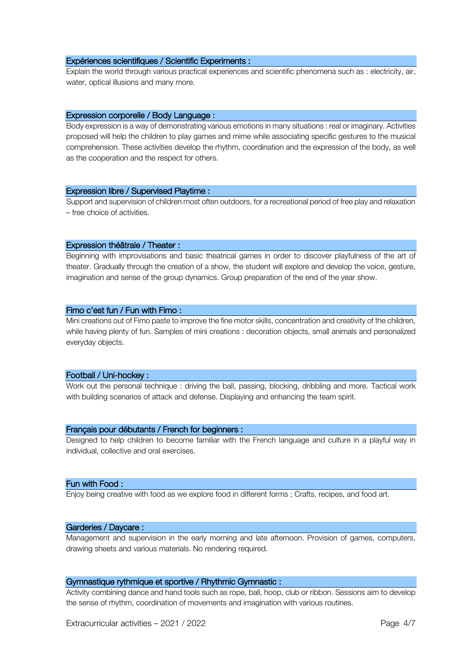#### Expériences scientifiques / Scientific Experiments :

Explain the world through various practical experiences and scientific phenomena such as : electricity, air, water, optical illusions and many more.

#### Expression corporelle / Body Language :

Body expression is a way of demonstrating various emotions in many situations : real or imaginary. Activities proposed will help the children to play games and mime while associating specific gestures to the musical comprehension. These activities develop the rhythm, coordination and the expression of the body, as well as the cooperation and the respect for others.

### Expression libre / Supervised Playtime :

Support and supervision of children most often outdoors, for a recreational period of free play and relaxation – free choice of activities.

### Expression théâtrale / Theater :

Beginning with improvisations and basic theatrical games in order to discover playfulness of the art of theater. Gradually through the creation of a show, the student will explore and develop the voice, gesture, imagination and sense of the group dynamics. Group preparation of the end of the year show.

### Fimo c'est fun / Fun with Fimo :

Mini creations out of Fimo paste to improve the fine motor skills, concentration and creativity of the children, while having plenty of fun. Samples of mini creations : decoration objects, small animals and personalized everyday objects.

# Football / Uni-hockey :

Work out the personal technique : driving the ball, passing, blocking, dribbling and more. Tactical work with building scenarios of attack and defense. Displaying and enhancing the team spirit.

# Français pour débutants / French for beginners :

Designed to help children to become familiar with the French language and culture in a playful way in individual, collective and oral exercises.

#### Fun with Food :

Enjoy being creative with food as we explore food in different forms ; Crafts, recipes, and food art.

#### Garderies / Daycare :

Management and supervision in the early morning and late afternoon. Provision of games, computers, drawing sheets and various materials. No rendering required.

### Gymnastique rythmique et sportive / Rhythmic Gymnastic :

Activity combining dance and hand tools such as rope, ball, hoop, club or ribbon. Sessions aim to develop the sense of rhythm, coordination of movements and imagination with various routines.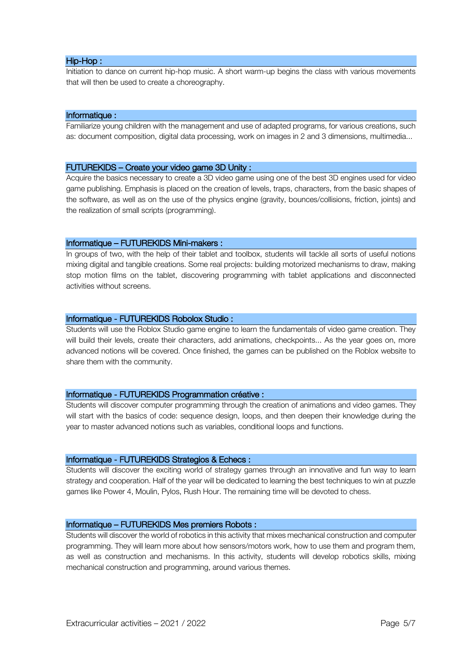# Hip-Hop :

Initiation to dance on current hip-hop music. A short warm-up begins the class with various movements that will then be used to create a choreography.

### Informatique :

Familiarize young children with the management and use of adapted programs, for various creations, such as: document composition, digital data processing, work on images in 2 and 3 dimensions, multimedia...

### FUTUREKIDS – Create your video game 3D Unity :

Acquire the basics necessary to create a 3D video game using one of the best 3D engines used for video game publishing. Emphasis is placed on the creation of levels, traps, characters, from the basic shapes of the software, as well as on the use of the physics engine (gravity, bounces/collisions, friction, joints) and the realization of small scripts (programming).

### Informatique – FUTUREKIDS Mini-makers :

In groups of two, with the help of their tablet and toolbox, students will tackle all sorts of useful notions mixing digital and tangible creations. Some real projects: building motorized mechanisms to draw, making stop motion films on the tablet, discovering programming with tablet applications and disconnected activities without screens.

### Informatique - FUTUREKIDS Robolox Studio :

Students will use the Roblox Studio game engine to learn the fundamentals of video game creation. They will build their levels, create their characters, add animations, checkpoints... As the year goes on, more advanced notions will be covered. Once finished, the games can be published on the Roblox website to share them with the community.

# Informatique - FUTUREKIDS Programmation créative :

Students will discover computer programming through the creation of animations and video games. They will start with the basics of code: sequence design, loops, and then deepen their knowledge during the year to master advanced notions such as variables, conditional loops and functions.

# Informatique - FUTUREKIDS Strategios & Echecs :

Students will discover the exciting world of strategy games through an innovative and fun way to learn strategy and cooperation. Half of the year will be dedicated to learning the best techniques to win at puzzle games like Power 4, Moulin, Pylos, Rush Hour. The remaining time will be devoted to chess.

# Informatique – FUTUREKIDS Mes premiers Robots :

Students will discover the world of robotics in this activity that mixes mechanical construction and computer programming. They will learn more about how sensors/motors work, how to use them and program them, as well as construction and mechanisms. In this activity, students will develop robotics skills, mixing mechanical construction and programming, around various themes.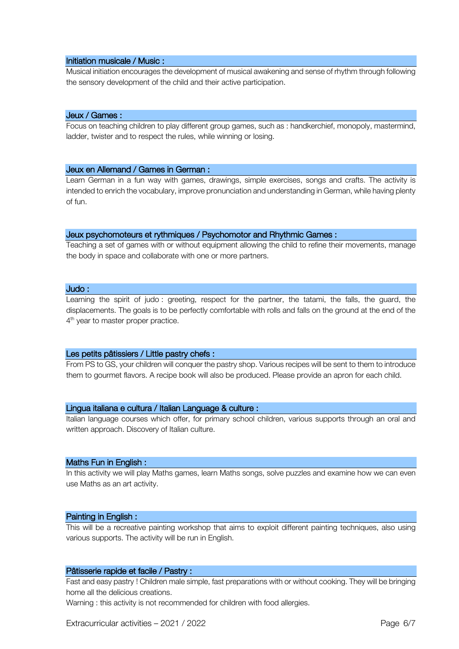#### Initiation musicale / Music :

Musical initiation encourages the development of musical awakening and sense of rhythm through following the sensory development of the child and their active participation.

# Jeux / Games :

Focus on teaching children to play different group games, such as : handkerchief, monopoly, mastermind, ladder, twister and to respect the rules, while winning or losing.

### Jeux en Allemand / Games in German :

Learn German in a fun way with games, drawings, simple exercises, songs and crafts. The activity is intended to enrich the vocabulary, improve pronunciation and understanding in German, while having plenty of fun.

### Jeux psychomoteurs et rythmiques / Psychomotor and Rhythmic Games :

Teaching a set of games with or without equipment allowing the child to refine their movements, manage the body in space and collaborate with one or more partners.

### Judo :

Learning the spirit of judo : greeting, respect for the partner, the tatami, the falls, the guard, the displacements. The goals is to be perfectly comfortable with rolls and falls on the ground at the end of the 4<sup>th</sup> year to master proper practice.

# Les petits pâtissiers / Little pastry chefs :

From PS to GS, your children will conquer the pastry shop. Various recipes will be sent to them to introduce them to gourmet flavors. A recipe book will also be produced. Please provide an apron for each child.

# Lingua italiana e cultura / Italian Language & culture :

Italian language courses which offer, for primary school children, various supports through an oral and written approach. Discovery of Italian culture.

#### Maths Fun in English :

In this activity we will play Maths games, learn Maths songs, solve puzzles and examine how we can even use Maths as an art activity.

#### Painting in English :

This will be a recreative painting workshop that aims to exploit different painting techniques, also using various supports. The activity will be run in English.

#### Pâtisserie rapide et facile / Pastry :

Fast and easy pastry ! Children male simple, fast preparations with or without cooking. They will be bringing home all the delicious creations.

Warning : this activity is not recommended for children with food allergies.